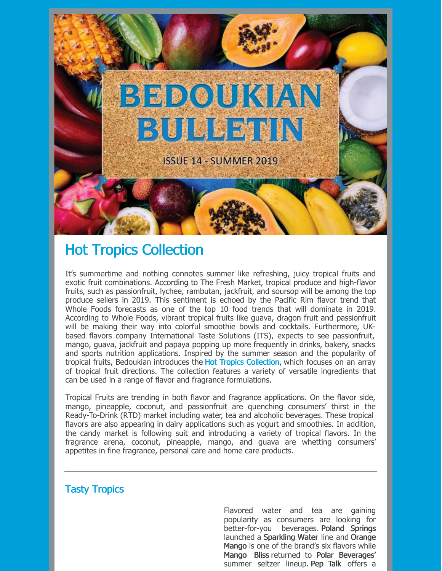

## Hot Tropics Collection

It's summertime and nothing connotes summer like refreshing, juicy tropical fruits and exotic fruit combinations. According to The Fresh Market, tropical produce and high-flavor fruits, such as passionfruit, lychee, rambutan, jackfruit, and soursop will be among the top produce sellers in 2019. This sentiment is echoed by the Pacific Rim flavor trend that Whole Foods forecasts as one of the top 10 food trends that will dominate in 2019. According to Whole Foods, vibrant tropical fruits like guava, dragon fruit and passionfruit will be making their way into colorful smoothie bowls and cocktails. Furthermore, UKbased flavors company International Taste Solutions (ITS), expects to see passionfruit, mango, guava, jackfruit and papaya popping up more frequently in drinks, bakery, snacks and sports nutrition applications. Inspired by the summer season and the popularity of tropical fruits, Bedoukian introduces the Hot Tropics Collection, which focuses on an array of tropical fruit directions. The collection features a variety of versatile ingredients that can be used in a range of flavor and fragrance formulations.

Tropical Fruits are trending in both flavor and fragrance applications. On the flavor side, mango, pineapple, coconut, and passionfruit are quenching consumers' thirst in the Ready-To-Drink (RTD) market including water, tea and alcoholic beverages. These tropical flavors are also appearing in dairy applications such as yogurt and smoothies. In addition, the candy market is following suit and introducing a variety of tropical flavors. In the fragrance arena, coconut, pineapple, mango, and guava are whetting consumers' appetites in fine fragrance, personal care and home care products.

## Tasty Tropics

Flavored water and tea are gaining popularity as consumers are looking for better-for-you beverages. Poland Springs launched a Sparkling Water line and Orange Mango is one of the brand's six flavors while Mango Bliss returned to Polar Beverages' summer seltzer lineup. Pep Talk offers a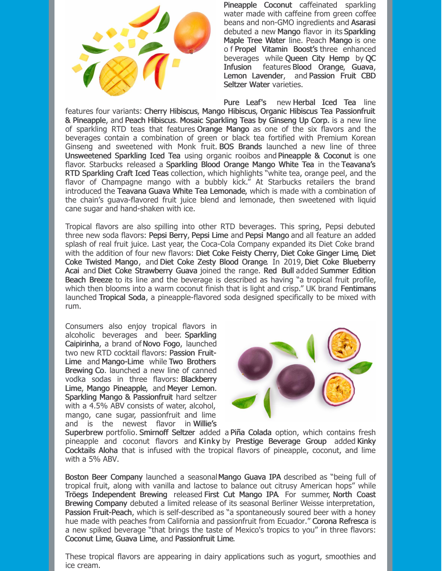

Pineapple Coconut caffeinated sparkling water made with caffeine from green coffee beans and non-GMO ingredients and Asarasi debuted a new Mango flavor in its Sparkling Maple Tree Water line. Peach Mango is one o f Propel Vitamin Boost's three enhanced beverages while Queen City Hemp by QC Infusion features Blood Orange, Guava, Lemon Lavender, and Passion Fruit CBD Seltzer Water varieties.

Pure Leaf's new Herbal Iced Tea line features four variants: Cherry Hibiscus, Mango Hibiscus, Organic Hibiscus Tea Passionfruit & Pineapple, and Peach Hibiscus. Mosaic Sparkling Teas by Ginseng Up Corp. is a new line of sparkling RTD teas that features Orange Mango as one of the six flavors and the beverages contain a combination of green or black tea fortified with Premium Korean Ginseng and sweetened with Monk fruit. BOS Brands launched a new line of three Unsweetened Sparkling Iced Tea using organic rooibos and Pineapple & Coconut is one flavor. Starbucks released a Sparkling Blood Orange Mango White Tea in the Teavana's RTD Sparkling Craft Iced Teas collection, which highlights "white tea, orange peel, and the flavor of Champagne mango with a bubbly kick." At Starbucks retailers the brand introduced the Teavana Guava White Tea Lemonade, which is made with a combination of the chain's guava-flavored fruit juice blend and lemonade, then sweetened with liquid cane sugar and hand-shaken with ice.

Tropical flavors are also spilling into other RTD beverages. This spring, Pepsi debuted three new soda flavors: Pepsi Berry, Pepsi Lime and Pepsi Mango and all feature an added splash of real fruit juice. Last year, the Coca-Cola Company expanded its Diet Coke brand with the addition of four new flavors: Diet Coke Feisty Cherry, Diet Coke Ginger Lime, Diet Coke Twisted Mango, and Diet Coke Zesty Blood Orange. In 2019, Diet Coke Blueberry Acai and Diet Coke Strawberry Guava joined the range. Red Bull added Summer Edition Beach Breeze to its line and the beverage is described as having "a tropical fruit profile, which then blooms into a warm coconut finish that is light and crisp." UK brand Fentimans launched Tropical Soda, a pineapple-flavored soda designed specifically to be mixed with rum.

Consumers also enjoy tropical flavors in alcoholic beverages and beer. Sparkling Caipirinha, a brand of Novo Fogo, launched two new RTD cocktail flavors: Passion Fruit-Lime and Mango-Lime while Two Brothers Brewing Co. launched a new line of canned vodka sodas in three flavors: Blackberry Lime, Mango Pineapple, and Meyer Lemon. Sparkling Mango & Passionfruit hard seltzer with a 4.5% ABV consists of water, alcohol, mango, cane sugar, passionfruit and lime and is the newest flavor in Willie's



Superbrew portfolio. Smirnoff Seltzer added a Piña Colada option, which contains fresh pineapple and coconut flavors and Kinky by Prestige Beverage Group added Kinky Cocktails Aloha that is infused with the tropical flavors of pineapple, coconut, and lime with a 5% ABV.

Boston Beer Company launched a seasonalMango Guava IPA described as "being full of tropical fruit, along with vanilla and lactose to balance out citrusy American hops" while Tröegs Independent Brewing released First Cut Mango IPA. For summer, North Coast Brewing Company debuted a limited release of its seasonal Berliner Weisse interpretation, Passion Fruit-Peach, which is self-described as "a spontaneously soured beer with a honey hue made with peaches from California and passionfruit from Ecuador." Corona Refresca is a new spiked beverage "that brings the taste of Mexico's tropics to you" in three flavors: Coconut Lime, Guava Lime, and Passionfruit Lime.

These tropical flavors are appearing in dairy applications such as yogurt, smoothies and ice cream.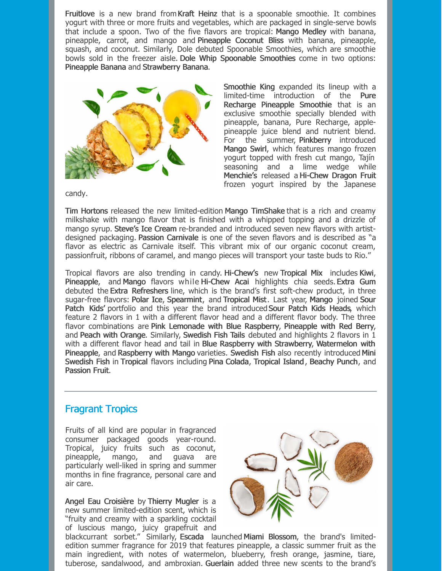Fruitlove is a new brand from Kraft Heinz that is a spoonable smoothie. It combines yogurt with three or more fruits and vegetables, which are packaged in single-serve bowls that include a spoon. Two of the five flavors are tropical: Mango Medley with banana, pineapple, carrot, and mango and Pineapple Coconut Bliss with banana, pineapple, squash, and coconut. Similarly, Dole debuted Spoonable Smoothies, which are smoothie bowls sold in the freezer aisle. Dole Whip Spoonable Smoothies come in two options: Pineapple Banana and Strawberry Banana.



Smoothie King expanded its lineup with a limited-time introduction of the Pure Recharge Pineapple Smoothie that is an exclusive smoothie specially blended with pineapple, banana, Pure Recharge, applepineapple juice blend and nutrient blend. For the summer, Pinkberry introduced Mango Swirl, which features mango frozen yogurt topped with fresh cut mango, Tajín seasoning and a lime wedge while Menchie's released a Hi-Chew Dragon Fruit frozen yogurt inspired by the Japanese

candy.

Tim Hortons released the new limited-edition Mango TimShake that is a rich and creamy milkshake with mango flavor that is finished with a whipped topping and a drizzle of mango syrup. Steve's Ice Cream re-branded and introduced seven new flavors with artistdesigned packaging. Passion Carnivale is one of the seven flavors and is described as "a flavor as electric as Carnivale itself. This vibrant mix of our organic coconut cream, passionfruit, ribbons of caramel, and mango pieces will transport your taste buds to Rio."

Tropical flavors are also trending in candy. Hi-Chew's new Tropical Mix includes Kiwi, Pineapple, and Mango flavors while Hi-Chew Acai highlights chia seeds. Extra Gum debuted the Extra Refreshers line, which is the brand's first soft-chew product, in three sugar-free flavors: Polar Ice, Spearmint, and Tropical Mist. Last year, Mango joined Sour Patch Kids' portfolio and this year the brand introduced Sour Patch Kids Heads, which feature 2 flavors in 1 with a different flavor head and a different flavor body. The three flavor combinations are Pink Lemonade with Blue Raspberry, Pineapple with Red Berry, and Peach with Orange. Similarly, Swedish Fish Tails debuted and highlights 2 flavors in 1 with a different flavor head and tail in Blue Raspberry with Strawberry, Watermelon with Pineapple, and Raspberry with Mango varieties. Swedish Fish also recently introduced Mini Swedish Fish in Tropical flavors including Pina Colada, Tropical Island , Beachy Punch, and Passion Fruit.

## Fragrant Tropics

Fruits of all kind are popular in fragranced consumer packaged goods year-round. Tropical, juicy fruits such as coconut, pineapple, mango, and guava are particularly well-liked in spring and summer months in fine fragrance, personal care and air care.

Angel Eau Croisière by Thierry Mugler is a new summer limited-edition scent, which is "fruity and creamy with a sparkling cocktail of luscious mango, juicy grapefruit and



blackcurrant sorbet." Similarly, Escada launched Miami Blossom, the brand's limitededition summer fragrance for 2019 that features pineapple, a classic summer fruit as the main ingredient, with notes of watermelon, blueberry, fresh orange, jasmine, tiare, tuberose, sandalwood, and ambroxian. Guerlain added three new scents to the brand's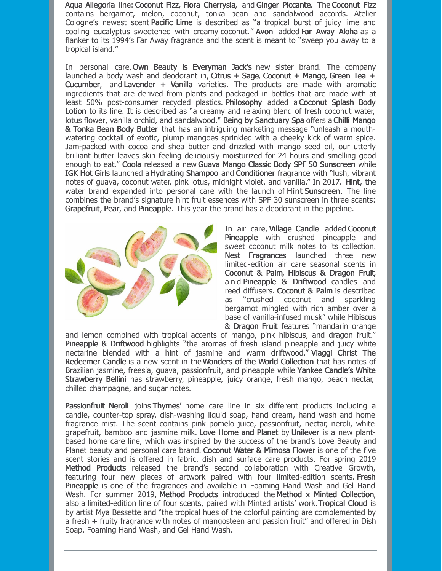Aqua Allegoria line: Coconut Fizz, Flora Cherrysia, and Ginger Piccante. The Coconut Fizz contains bergamot, melon, coconut, tonka bean and sandalwood accords. Atelier Cologne's newest scent Pacific Lime is described as "a tropical burst of juicy lime and cooling eucalyptus sweetened with creamy coconut." Avon added Far Away Aloha as a flanker to its 1994's Far Away fragrance and the scent is meant to "sweep you away to a tropical island."

In personal care, Own Beauty is Everyman Jack's new sister brand. The company launched a body wash and deodorant in, Citrus  $+$  Sage, Coconut  $+$  Mango, Green Tea  $+$ Cucumber, and Lavender + Vanilla varieties. The products are made with aromatic ingredients that are derived from plants and packaged in bottles that are made with at least 50% post-consumer recycled plastics. Philosophy added a Coconut Splash Body Lotion to its line. It is described as "a creamy and relaxing blend of fresh coconut water, lotus flower, vanilla orchid, and sandalwood." Being by Sanctuary Spa offers a Chilli Mango & Tonka Bean Body Butter that has an intriguing marketing message "unleash a mouthwatering cocktail of exotic, plump mangoes sprinkled with a cheeky kick of warm spice. Jam-packed with cocoa and shea butter and drizzled with mango seed oil, our utterly brilliant butter leaves skin feeling deliciously moisturized for 24 hours and smelling good enough to eat." Coola released a new Guava Mango Classic Body SPF 50 Sunscreen while IGK Hot Girls launched aHydrating Shampoo and Conditioner fragrance with "lush, vibrant notes of guava, coconut water, pink lotus, midnight violet, and vanilla." In 2017, Hint, the water brand expanded into personal care with the launch of Hint Sunscreen. The line combines the brand's signature hint fruit essences with SPF 30 sunscreen in three scents: Grapefruit, Pear, and Pineapple. This year the brand has a deodorant in the pipeline.



In air care, Village Candle added Coconut Pineapple with crushed pineapple and sweet coconut milk notes to its collection. Nest Fragrances launched three new limited-edition air care seasonal scents in Coconut & Palm, Hibiscus & Dragon Fruit, a n d Pineapple & Driftwood candles and reed diffusers. Coconut & Palm is described as "crushed coconut and sparkling bergamot mingled with rich amber over a base of vanilla-infused musk" while Hibiscus & Dragon Fruit features "mandarin orange

and lemon combined with tropical accents of mango, pink hibiscus, and dragon fruit." Pineapple & Driftwood highlights "the aromas of fresh island pineapple and juicy white nectarine blended with a hint of jasmine and warm driftwood." Viaggi Christ The Redeemer Candle is a new scent in theWonders of the World Collection that has notes of Brazilian jasmine, freesia, guava, passionfruit, and pineapple while Yankee Candle's White Strawberry Bellini has strawberry, pineapple, juicy orange, fresh mango, peach nectar, chilled champagne, and sugar notes.

Passionfruit Neroli joins Thymes' home care line in six different products including a candle, counter-top spray, dish-washing liquid soap, hand cream, hand wash and home fragrance mist. The scent contains pink pomelo juice, passionfruit, nectar, neroli, white grapefruit, bamboo and jasmine milk. Love Home and Planet by Unilever is a new plantbased home care line, which was inspired by the success of the brand's Love Beauty and Planet beauty and personal care brand. Coconut Water & Mimosa Flower is one of the five scent stories and is offered in fabric, dish and surface care products. For spring 2019 Method Products released the brand's second collaboration with Creative Growth, featuring four new pieces of artwork paired with four limited-edition scents. Fresh Pineapple is one of the fragrances and available in Foaming Hand Wash and Gel Hand Wash. For summer 2019, Method Products introduced the Method x Minted Collection, also a limited-edition line of four scents, paired with Minted artists' work.Tropical Cloud is by artist Mya Bessette and "the tropical hues of the colorful painting are complemented by a fresh + fruity fragrance with notes of mangosteen and passion fruit" and offered in Dish Soap, Foaming Hand Wash, and Gel Hand Wash.